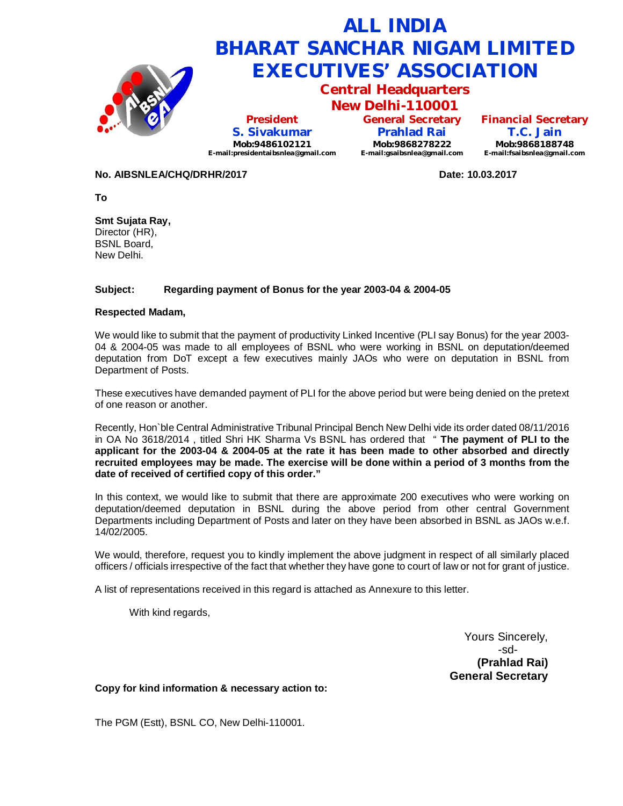

**Financial Secretary T.C. Jain Mob:9868188748 E-mail:fsaibsnlea@gmail.com**

### **No. AIBSNLEA/CHQ/DRHR/2017 Date: 10.03.2017**

**To**

**Smt Sujata Ray,** Director (HR), BSNL Board, New Delhi.

## **Subject: Regarding payment of Bonus for the year 2003-04 & 2004-05**

#### **Respected Madam,**

We would like to submit that the payment of productivity Linked Incentive (PLI say Bonus) for the year 2003- 04 & 2004-05 was made to all employees of BSNL who were working in BSNL on deputation/deemed deputation from DoT except a few executives mainly JAOs who were on deputation in BSNL from Department of Posts.

These executives have demanded payment of PLI for the above period but were being denied on the pretext of one reason or another.

Recently, Hon`ble Central Administrative Tribunal Principal Bench New Delhi vide its order dated 08/11/2016 in OA No 3618/2014 , titled Shri HK Sharma Vs BSNL has ordered that " **The payment of PLI to the applicant for the 2003-04 & 2004-05 at the rate it has been made to other absorbed and directly recruited employees may be made. The exercise will be done within a period of 3 months from the date of received of certified copy of this order."**

In this context, we would like to submit that there are approximate 200 executives who were working on deputation/deemed deputation in BSNL during the above period from other central Government Departments including Department of Posts and later on they have been absorbed in BSNL as JAOs w.e.f. 14/02/2005.

We would, therefore, request you to kindly implement the above judgment in respect of all similarly placed officers / officials irrespective of the fact that whether they have gone to court of law or not for grant of justice.

A list of representations received in this regard is attached as Annexure to this letter.

With kind regards,

Yours Sincerely, -sd- **(Prahlad Rai) General Secretary**

## **Copy for kind information & necessary action to:**

The PGM (Estt), BSNL CO, New Delhi-110001.